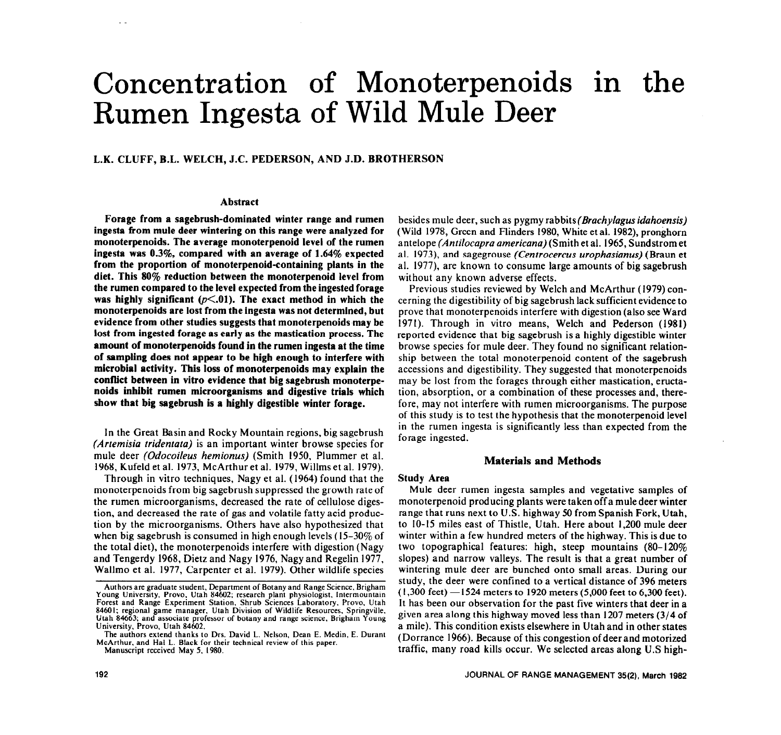# Concentration of Monoterpenoids in the Rumen Ingesta of Wild Mule Deer

**L.K. CLUFF, B.L. WELCH, J.C. PEDERSON, AND J.D. BROTHERSON** 

## **Abstract**

**Forage from a sagebrush-dominated winter range and rumen ingesta from mule deer wintering on this range were analyzed for monoterpenoids. The average monoterpenoid level of the rumen ingesta was 0.3%, compared with an average of 1.64% expected**  from the proportion of monoterpenoid-containing plants in the **diet. This 80% reduction between the monoterpenoid level from the rumen compared to the level expected from the ingested forage**  was highly significant  $(p<.01)$ . The exact method in which the **monoterpenoids are lost from the ingesta was not determined, but evidence from other studies suggests that monoterpenoids may be lost from ingested forage as early as the mastication process. The amount of monoterpenoids found in the rumen ingesta at the time of sampling does not appear to be high enough to interfere with microbial activity. This loss of monoterpenoids may explain the conflict between in vitro evidence that big sagebrush monoterpenoids inhibit rumen microorganisms and digestive trials which show that big sagebrush is a highly digestible winter forage.** 

In the Great Basin and Rocky Mountain regions, big sagebrush *(Artemisia tridentatu)* is an important winter **browse** species for mule deer *(Odocoileus hemionus)* (Smith 1950, Plummer et al. 1968, Kufeld et al. 1973, McArthur et al. 1979, Willms et al. 1979).

Through in vitro techniques, Nagy et al. (1964) found that the monoterpenoids from big sagebrush suppressed the growth rate of the rumen microorganisms, decreased the rate of cellulose digestion, and decreased the rate of gas and volatile fatty acid production by the microorganisms. Others have also hypothesized that when big sagebrush is consumed in high enough levels  $(15-30\% \text{ of }$ the total diet), the monoterpenoids interfere with digestion (Nagy and Tengerdy 1968, Dietz and Nagy 1976, Nagy and Regelin 1977, Wallmo et al. 1977, Carpenter et al. 1979). Other wildlife species

besides mule deer, such as pygmy rabbits(Brachylagus *idahoensis)*  (Wild 1978, Green and Flinders 1980, White et al. 1982), pronghorn antelope *(Antilocupra americana)* (Smith et al. 1965, Sundstrom et al. 1973) and sagegrouse *(Centrocercus urophasianus)* (Braun et al. 1977), are known to consume large amounts of big sagebrush without any known adverse effects.

Previous studies reviewed by Welch and McArthur (1979) concerning the digestibility of big sagebrush lack sufficient evidence to prove that monoterpenoids interfere with digestion (also see Ward 1971). Through in vitro means, Welch and Pederson (1981) reported evidence that big sagebrush is a highly digestible winter browse species for mule deer. They found no significant relationship between the total monoterpenoid content of the sagebrush accessions and digestibility. They suggested that monoterpenoids may be lost from the forages through either mastication, eructation, absorption, or a combination of these processes and, therefore, may not interfere with rumen microorganisms. The purpose of this study is to test the hypothesis that the monoterpenoid level in the rumen ingesta is significantly less than expected from the forage ingested.

# **Materials and Methods**

### **Study Area**

Mule deer rumen ingesta samples and vegetative samples of monoterpenoid producing plants were taken off a mule deer winter range that runs next to U.S. highway 50 from Spanish Fork, Utah, to IO-15 miles east of Thistle, Utah. Here about 1,200 mule deer winter within a few hundred meters of the highway. This is due to two topographical features: high, steep mountains (80-120% slopes) and narrow valleys. The result is that a great number of wintering mule deer are bunched onto small areas. During our study, the deer were confined to a vertical distance of 396 meters  $(1,300 \text{ feet}) - 1524 \text{ meters}$  to 1920 meters (5,000 feet to 6,300 feet). It has been our observation for the past five winters that deer in a given area along this highway moved less than 1207 meters (3/4 of a mile). This condition exists elsewhere in Utah and in other states (Dorrance 1966). Because of this congestion of deer and motorized traffic, many road kills occur. We selected areas along U.S high-

**Authors are graduate student, Department of Botany and Range Science. Brigham Young University, Provo. Utah 84602; research plant physiologist, Intermountain Forest and Range Experiment Station. Shrub Sciences Laboratory. Provo, Utah 84601; regional game manager, Utah Division of Wildlife Resources. Springville, Utah 84663: and associate professor of botany and range science. Brigham Young University, Provo, Utah 84602.** 

**The authors extend thanks to Drs. David L. Nelson. Dean E. Medin, E. Durant McArthur, and Hal L. Black for their technical review of this paper. Manuscript received May 5, 1980.**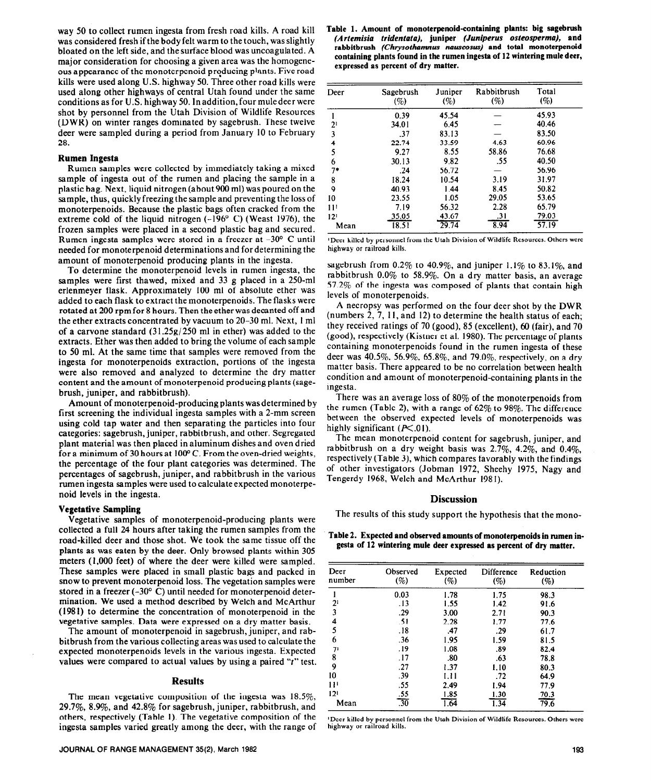way 50 to collect rumen ingesta from fresh road kills. A road kill was considered fresh if the body felt warm to the touch, was slightly bloated on the left side, and the surface blood was uncoagulated. A major consideration for choosing a given area was the homogeneous appearance of the monoterpenoid producing plants. Five road kills were used along U.S. highway 50. Three other road kills were used along other highways of central Utah found under the same conditions as for U.S. highway 50. In addition, four mule deer were shot by personnel from the Utah Division of Wildlife Resources (DWR) on winter ranges dominated by sagebrush. These twelve deer were sampled during a period from January 10 to February 28.

### **Rumen Ingesta**

Rumen samples were collected by immediately taking a mixed sample of ingesta out of the rumen and placing the sample in a plastic bag. Next, liquid nitrogen (about 900 ml) was poured on the sample, thus, quickly freezing the sample and preventing the loss of monoterpenoids. Because the plastic bags often cracked from the extreme cold of the liquid nitrogen (-196° C) (Weast 1976), the frozen samples were placed in a second plastic bag and secured. Rumen ingesta samples were stored in a freezer at -30' C until needed for monoterpenoid determinations and for determining the amount of monoterpenoid producing plants in the ingesta.

To determine the monoterpenoid levels in rumen ingesta, the samples were first thawed, mixed and 33 g placed in a 250-ml erlenmeyer flask. Approximately 100 ml of absolute ether was added to each flask to extract the monoterpenoids. The flasks were rotated at 200 rpmfor 8 hours. Then the ether was decanted off and the ether extracts concentrated by vacuum to 20-30 ml. Next, 1 ml of a carvone standard (31.258/250 ml in ether) was added to the extracts. Ether was then added to bring the volume of each sample to 50 ml. At the same time that samples were removed from the ingesta for monoterpenoids extraction, portions of the ingesta were also removed and analyzed to determine the dry matter content and the amount of monoterpenoid producing plants (sagebrush, juniper, and rabbitbrush).

Amount of monoterpenoid-producing plants was determined by first screening the individual ingesta samples with a 2-mm screen using cold tap water and then separating the particles into four categories: sagebrush, juniper, rabbitbrush, and other. Segregated plant material was then placed in aluminum dishes and oven dried for a minimum of 30 hours at 100°C. From the oven-dried weights, the percentage of the four plant categories was determined. The percentages of sagebrush, juniper, and rabbitbrush in the various rumen ingesta samples were used to calculate expected monoterpenoid levels in the ingesta.

#### **Vegetative Sampling**

Vegetative samples of monoterpenoid-producing plants were collected a full 24 hours after taking the rumen samples from the road-killed deer and those shot. We took the same tissue off the plants as was eaten by the deer. Only browsed plants within 305 meters (1,000 feet) of where the deer were killed were sampled. These samples were placed in small plastic bags and packed in snow to prevent monoterpenoid loss. The vegetation samples were stored in a freezer  $(-30^{\circ} \text{ C})$  until needed for monoterpenoid determination. We used a method described by Welch and McArthur (1981) to determine the concentration of monoterpenoid in the vegetative samples. Data were expressed on a dry matter basis.

The amount of monoterpenoid in sagebrush, juniper, and rabbitbrush from the various collecting areas was used to calculate the expected monoterpenoids levels in the various ingesta. Expected values were compared to actual values by using a paired "t" test.

## **Results**

The mean vegetative composition of the ingesta was 18.5%, 29.7%, 8.9%, and 42.8% for sagebrush, juniper, rabbitbrush, and others, respectively (Table 1). The vegetative composition of the ingesta samples varied greatly among the deer, with the range of

| Table 1. Amount of monoterpenoid-containing plants: big sagebrush |                                                                         |  |  |  |
|-------------------------------------------------------------------|-------------------------------------------------------------------------|--|--|--|
|                                                                   | (Artemisia tridentata), juniper (Juniperus osteosperma), and            |  |  |  |
|                                                                   | rabbitbrush (Chrysothamnus nauseosus) and total monoterpenoid           |  |  |  |
|                                                                   | containing plants found in the rumen ingesta of 12 wintering mule deer, |  |  |  |
|                                                                   | expressed as percent of dry matter.                                     |  |  |  |

| Deer            | Sagebrush<br>(%) | Juniper<br>(%) | Rabbitbrush<br>(%) | Total<br>(%) |
|-----------------|------------------|----------------|--------------------|--------------|
|                 | 0.39             | 45.54          |                    | 45.93        |
| 21              | 34.01            | 6.45           |                    | 40.46        |
| 3               | .37              | 83.13          |                    | 83.50        |
| 4               | 22.74            | 33.59          | 4.63               | 60.96        |
| 5               | 9.27             | 8.55           | 58.86              | 76.68        |
| 6               | 30.13            | 9.82           | .55                | 40.50        |
| 7*              | .24              | 56.72          |                    | 56.96        |
| 8               | 18.24            | 10.54          | 3.19               | 31.97        |
| 9               | 40.93            | 1.44           | 8.45               | 50.82        |
| 10              | 23.55            | 1.05           | 29.05              | 53.65        |
| 11 <sup>1</sup> | 7.19             | 56.32          | 2.28               | 65.79        |
| 12 <sup>1</sup> | 35.05            | 43.67          | .31                | 79.03        |
| Mean            | 18.51            | 29.74          | 8.94               | 57.19        |

**'Deer killed by personnel from the Utah Division of Wildlife Resources. Others were highway or railroad kills.** 

sagebrush from  $0.2\%$  to 40.9%, and juniper 1.1% to 83.1%, and rabbitbrush 0.0% to 58.9%. On a dry matter basis, an average 57.2% of the ingesta was composed of plants that contain high levels of monoterpenoids.

A necropsy was performed on the four deer shot by the DWR (numbers 2, 7, 1 I, and 12) to determine the health status of each; they received ratings of 70 (good), 85 (excellent), 60 (fair), and 70 (good), respectively (Kistner et al. 1980). The percentage of plants containing monoterpenoids found in the rumen ingesta of these deer was 40.5%, 56.9%, 65.8%, and 79.0%, respectively, on a dry matter basis. There appeared to be no correlation between health condition and amount of monoterpenoid-containing plants in the ingesta.

There was an average loss of 80% of the monoterpenoids from the rumen (Table 2), with a range of  $62\%$  to 98%. The difference between the observed expected levels of monoterpenoids was highly significant  $(P<.01)$ .

The mean monoterpenoid content for sagebrush, juniper, and rabbitbrush on a dry weight basis was  $2.7\%$ ,  $4.2\%$ , and  $0.4\%$ . respectively (Table 3), which compares favorably with the findings of other investigators (Jobman 1972, Sheehy 1975, Nagy and Tengerdy 1968, Welch and McArthur 1981).

#### **Discussion**

The results of this study support the hypothesis that the mono-

**Table 2. Expected and observed amounts of monoterpenoids in rumen ingesta of 12 wintering mule deer expressed as percent of dry matter.** 

| Deer<br>number  | Observed<br>(%)   | Expected<br>(%) | Difference<br>(%) | Reduction<br>(%) |
|-----------------|-------------------|-----------------|-------------------|------------------|
|                 | 0.03              | 1.78            | 1.75              | 98.3             |
| $2^{1}$         | .13               | 1.55            | 1.42              | 91.6             |
| 3               | .29               | 3.00            | 2.71              | 90.3             |
| 4               | .51               | 2.28            | 1.77              | 77.6             |
| 5               | .18               | .47             | .29               | 61.7             |
| 6               | .36               | 1.95            | 1.59              | 81.5             |
| 71              | . 19              | 1.08            | .89               | 82.4             |
| 8               | .17               | .80             | .63               | 78.8             |
| 9               | .27               | 1.37            | 1.10              | 80.3             |
| 10              | .39               | 1.11            | .72               | 64.9             |
| 11 <sup>1</sup> | .55               | 2.49            | 1.94              | 77.9             |
| 12 <sup>1</sup> |                   | 1.85            | 1.30              | 70.3             |
| Mean            | $\frac{.55}{.30}$ | 1.64            | $\overline{1.34}$ | 79.6             |

**'Deer killed by personnel from the** Utah Division of Wildlife Resources. Others were highway or railroad kills.